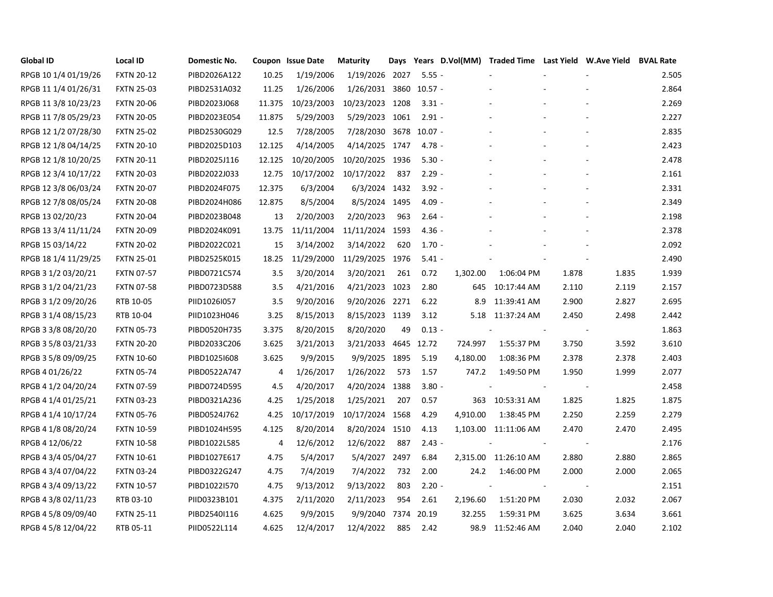| <b>Global ID</b>     | <b>Local ID</b>   | Domestic No. |        | Coupon Issue Date | <b>Maturity</b>        | Days |          |          |                          |       | Years D.Vol(MM) Traded Time Last Yield W.Ave Yield | <b>BVAL Rate</b> |
|----------------------|-------------------|--------------|--------|-------------------|------------------------|------|----------|----------|--------------------------|-------|----------------------------------------------------|------------------|
| RPGB 10 1/4 01/19/26 | <b>FXTN 20-12</b> | PIBD2026A122 | 10.25  | 1/19/2006         | 1/19/2026 2027         |      | $5.55 -$ |          |                          |       |                                                    | 2.505            |
| RPGB 11 1/4 01/26/31 | <b>FXTN 25-03</b> | PIBD2531A032 | 11.25  | 1/26/2006         | 1/26/2031 3860 10.57 - |      |          |          |                          |       |                                                    | 2.864            |
| RPGB 11 3/8 10/23/23 | <b>FXTN 20-06</b> | PIBD2023J068 | 11.375 | 10/23/2003        | 10/23/2023 1208        |      | $3.31 -$ |          |                          |       |                                                    | 2.269            |
| RPGB 11 7/8 05/29/23 | <b>FXTN 20-05</b> | PIBD2023E054 | 11.875 | 5/29/2003         | 5/29/2023 1061         |      | $2.91 -$ |          |                          |       |                                                    | 2.227            |
| RPGB 12 1/2 07/28/30 | <b>FXTN 25-02</b> | PIBD2530G029 | 12.5   | 7/28/2005         | 7/28/2030 3678 10.07 - |      |          |          |                          |       |                                                    | 2.835            |
| RPGB 12 1/8 04/14/25 | <b>FXTN 20-10</b> | PIBD2025D103 | 12.125 | 4/14/2005         | 4/14/2025 1747         |      | $4.78 -$ |          |                          |       |                                                    | 2.423            |
| RPGB 12 1/8 10/20/25 | <b>FXTN 20-11</b> | PIBD2025J116 | 12.125 | 10/20/2005        | 10/20/2025 1936        |      | $5.30 -$ |          |                          |       |                                                    | 2.478            |
| RPGB 12 3/4 10/17/22 | <b>FXTN 20-03</b> | PIBD2022J033 | 12.75  | 10/17/2002        | 10/17/2022             | 837  | $2.29 -$ |          |                          |       |                                                    | 2.161            |
| RPGB 12 3/8 06/03/24 | <b>FXTN 20-07</b> | PIBD2024F075 | 12.375 | 6/3/2004          | 6/3/2024 1432          |      | $3.92 -$ |          |                          |       |                                                    | 2.331            |
| RPGB 12 7/8 08/05/24 | <b>FXTN 20-08</b> | PIBD2024H086 | 12.875 | 8/5/2004          | 8/5/2024 1495          |      | $4.09 -$ |          |                          |       |                                                    | 2.349            |
| RPGB 13 02/20/23     | <b>FXTN 20-04</b> | PIBD2023B048 | 13     | 2/20/2003         | 2/20/2023              | 963  | $2.64 -$ |          |                          |       |                                                    | 2.198            |
| RPGB 13 3/4 11/11/24 | <b>FXTN 20-09</b> | PIBD2024K091 | 13.75  | 11/11/2004        | 11/11/2024 1593        |      | $4.36 -$ |          |                          |       |                                                    | 2.378            |
| RPGB 15 03/14/22     | <b>FXTN 20-02</b> | PIBD2022C021 | 15     | 3/14/2002         | 3/14/2022              | 620  | $1.70 -$ |          |                          |       |                                                    | 2.092            |
| RPGB 18 1/4 11/29/25 | <b>FXTN 25-01</b> | PIBD2525K015 | 18.25  | 11/29/2000        | 11/29/2025 1976        |      | $5.41 -$ |          |                          |       |                                                    | 2.490            |
| RPGB 3 1/2 03/20/21  | <b>FXTN 07-57</b> | PIBD0721C574 | 3.5    | 3/20/2014         | 3/20/2021              | 261  | 0.72     | 1,302.00 | 1:06:04 PM               | 1.878 | 1.835                                              | 1.939            |
| RPGB 3 1/2 04/21/23  | <b>FXTN 07-58</b> | PIBD0723D588 | 3.5    | 4/21/2016         | 4/21/2023 1023         |      | 2.80     | 645      | 10:17:44 AM              | 2.110 | 2.119                                              | 2.157            |
| RPGB 3 1/2 09/20/26  | RTB 10-05         | PIID1026I057 | 3.5    | 9/20/2016         | 9/20/2026 2271         |      | 6.22     | 8.9      | 11:39:41 AM              | 2.900 | 2.827                                              | 2.695            |
| RPGB 3 1/4 08/15/23  | RTB 10-04         | PIID1023H046 | 3.25   | 8/15/2013         | 8/15/2023 1139         |      | 3.12     |          | 5.18 11:37:24 AM         | 2.450 | 2.498                                              | 2.442            |
| RPGB 3 3/8 08/20/20  | <b>FXTN 05-73</b> | PIBD0520H735 | 3.375  | 8/20/2015         | 8/20/2020              | 49   | $0.13 -$ |          |                          |       |                                                    | 1.863            |
| RPGB 3 5/8 03/21/33  | <b>FXTN 20-20</b> | PIBD2033C206 | 3.625  | 3/21/2013         | 3/21/2033 4645 12.72   |      |          | 724.997  | 1:55:37 PM               | 3.750 | 3.592                                              | 3.610            |
| RPGB 3 5/8 09/09/25  | <b>FXTN 10-60</b> | PIBD10251608 | 3.625  | 9/9/2015          | 9/9/2025 1895          |      | 5.19     | 4,180.00 | 1:08:36 PM               | 2.378 | 2.378                                              | 2.403            |
| RPGB 4 01/26/22      | <b>FXTN 05-74</b> | PIBD0522A747 | 4      | 1/26/2017         | 1/26/2022              | 573  | 1.57     | 747.2    | 1:49:50 PM               | 1.950 | 1.999                                              | 2.077            |
| RPGB 4 1/2 04/20/24  | <b>FXTN 07-59</b> | PIBD0724D595 | 4.5    | 4/20/2017         | 4/20/2024 1388         |      | $3.80 -$ |          | $\overline{\phantom{a}}$ |       | $\overline{\phantom{a}}$                           | 2.458            |
| RPGB 4 1/4 01/25/21  | <b>FXTN 03-23</b> | PIBD0321A236 | 4.25   | 1/25/2018         | 1/25/2021              | 207  | 0.57     | 363      | 10:53:31 AM              | 1.825 | 1.825                                              | 1.875            |
| RPGB 4 1/4 10/17/24  | <b>FXTN 05-76</b> | PIBD0524J762 | 4.25   | 10/17/2019        | 10/17/2024 1568        |      | 4.29     | 4,910.00 | 1:38:45 PM               | 2.250 | 2.259                                              | 2.279            |
| RPGB 4 1/8 08/20/24  | <b>FXTN 10-59</b> | PIBD1024H595 | 4.125  | 8/20/2014         | 8/20/2024 1510         |      | 4.13     |          | 1,103.00 11:11:06 AM     | 2.470 | 2.470                                              | 2.495            |
| RPGB 4 12/06/22      | <b>FXTN 10-58</b> | PIBD1022L585 | 4      | 12/6/2012         | 12/6/2022              | 887  | $2.43 -$ |          |                          |       |                                                    | 2.176            |
| RPGB 4 3/4 05/04/27  | <b>FXTN 10-61</b> | PIBD1027E617 | 4.75   | 5/4/2017          | 5/4/2027 2497          |      | 6.84     |          | 2,315.00 11:26:10 AM     | 2.880 | 2.880                                              | 2.865            |
| RPGB 4 3/4 07/04/22  | <b>FXTN 03-24</b> | PIBD0322G247 | 4.75   | 7/4/2019          | 7/4/2022               | 732  | 2.00     | 24.2     | 1:46:00 PM               | 2.000 | 2.000                                              | 2.065            |
| RPGB 4 3/4 09/13/22  | <b>FXTN 10-57</b> | PIBD1022I570 | 4.75   | 9/13/2012         | 9/13/2022              | 803  | $2.20 -$ |          |                          |       |                                                    | 2.151            |
| RPGB 4 3/8 02/11/23  | RTB 03-10         | PIID0323B101 | 4.375  | 2/11/2020         | 2/11/2023              | 954  | 2.61     | 2,196.60 | 1:51:20 PM               | 2.030 | 2.032                                              | 2.067            |
| RPGB 4 5/8 09/09/40  | <b>FXTN 25-11</b> | PIBD2540I116 | 4.625  | 9/9/2015          | 9/9/2040 7374          |      | 20.19    | 32.255   | 1:59:31 PM               | 3.625 | 3.634                                              | 3.661            |
| RPGB 4 5/8 12/04/22  | RTB 05-11         | PIID0522L114 | 4.625  | 12/4/2017         | 12/4/2022              | 885  | 2.42     |          | 98.9 11:52:46 AM         | 2.040 | 2.040                                              | 2.102            |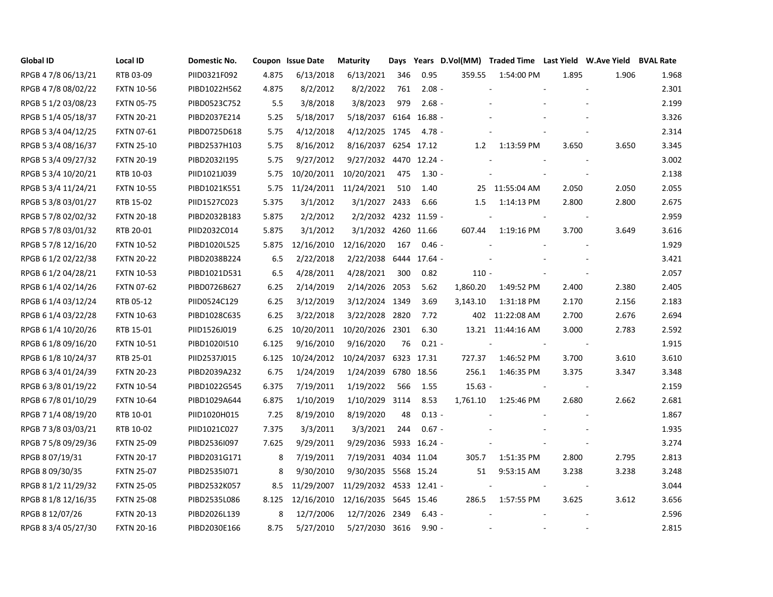| <b>Global ID</b>    | <b>Local ID</b>   | Domestic No. |       | Coupon Issue Date | <b>Maturity</b>         | Days |              |           |                   |            | Years D.Vol(MM) Traded Time Last Yield W.Ave Yield BVAL Rate |       |
|---------------------|-------------------|--------------|-------|-------------------|-------------------------|------|--------------|-----------|-------------------|------------|--------------------------------------------------------------|-------|
| RPGB 4 7/8 06/13/21 | RTB 03-09         | PIID0321F092 | 4.875 | 6/13/2018         | 6/13/2021               | 346  | 0.95         | 359.55    | 1:54:00 PM        | 1.895      | 1.906                                                        | 1.968 |
| RPGB 4 7/8 08/02/22 | <b>FXTN 10-56</b> | PIBD1022H562 | 4.875 | 8/2/2012          | 8/2/2022                | 761  | $2.08 -$     |           |                   |            |                                                              | 2.301 |
| RPGB 5 1/2 03/08/23 | <b>FXTN 05-75</b> | PIBD0523C752 | 5.5   | 3/8/2018          | 3/8/2023                | 979  | $2.68 -$     |           |                   |            |                                                              | 2.199 |
| RPGB 5 1/4 05/18/37 | <b>FXTN 20-21</b> | PIBD2037E214 | 5.25  | 5/18/2017         | 5/18/2037 6164 16.88 -  |      |              |           |                   |            |                                                              | 3.326 |
| RPGB 5 3/4 04/12/25 | <b>FXTN 07-61</b> | PIBD0725D618 | 5.75  | 4/12/2018         | 4/12/2025 1745          |      | $4.78 -$     |           |                   |            |                                                              | 2.314 |
| RPGB 5 3/4 08/16/37 | <b>FXTN 25-10</b> | PIBD2537H103 | 5.75  | 8/16/2012         | 8/16/2037 6254 17.12    |      |              | 1.2       | 1:13:59 PM        | 3.650      | 3.650                                                        | 3.345 |
| RPGB 5 3/4 09/27/32 | <b>FXTN 20-19</b> | PIBD2032I195 | 5.75  | 9/27/2012         | 9/27/2032 4470 12.24 -  |      |              |           |                   |            |                                                              | 3.002 |
| RPGB 5 3/4 10/20/21 | RTB 10-03         | PIID1021J039 | 5.75  | 10/20/2011        | 10/20/2021              | 475  | $1.30 -$     |           |                   |            |                                                              | 2.138 |
| RPGB 5 3/4 11/24/21 | <b>FXTN 10-55</b> | PIBD1021K551 | 5.75  |                   | 11/24/2011 11/24/2021   | 510  | 1.40         |           | 25 11:55:04 AM    | 2.050      | 2.050                                                        | 2.055 |
| RPGB 5 3/8 03/01/27 | RTB 15-02         | PIID1527C023 | 5.375 | 3/1/2012          | 3/1/2027 2433           |      | 6.66         | $1.5\,$   | 1:14:13 PM        | 2.800      | 2.800                                                        | 2.675 |
| RPGB 5 7/8 02/02/32 | <b>FXTN 20-18</b> | PIBD2032B183 | 5.875 | 2/2/2012          | 2/2/2032 4232 11.59 -   |      |              |           |                   |            |                                                              | 2.959 |
| RPGB 5 7/8 03/01/32 | RTB 20-01         | PIID2032C014 | 5.875 | 3/1/2012          | 3/1/2032 4260 11.66     |      |              | 607.44    | 1:19:16 PM        | 3.700      | 3.649                                                        | 3.616 |
| RPGB 5 7/8 12/16/20 | <b>FXTN 10-52</b> | PIBD1020L525 | 5.875 | 12/16/2010        | 12/16/2020              | 167  | $0.46 -$     |           |                   |            |                                                              | 1.929 |
| RPGB 6 1/2 02/22/38 | <b>FXTN 20-22</b> | PIBD2038B224 | 6.5   | 2/22/2018         | 2/22/2038               |      | 6444 17.64 - |           |                   |            |                                                              | 3.421 |
| RPGB 6 1/2 04/28/21 | <b>FXTN 10-53</b> | PIBD1021D531 | 6.5   | 4/28/2011         | 4/28/2021               | 300  | 0.82         | $110 -$   |                   |            |                                                              | 2.057 |
| RPGB 6 1/4 02/14/26 | <b>FXTN 07-62</b> | PIBD0726B627 | 6.25  | 2/14/2019         | 2/14/2026 2053          |      | 5.62         | 1,860.20  | 1:49:52 PM        | 2.400      | 2.380                                                        | 2.405 |
| RPGB 6 1/4 03/12/24 | RTB 05-12         | PIID0524C129 | 6.25  | 3/12/2019         | 3/12/2024 1349          |      | 3.69         | 3,143.10  | 1:31:18 PM        | 2.170      | 2.156                                                        | 2.183 |
| RPGB 6 1/4 03/22/28 | <b>FXTN 10-63</b> | PIBD1028C635 | 6.25  | 3/22/2018         | 3/22/2028 2820          |      | 7.72         |           | 402 11:22:08 AM   | 2.700      | 2.676                                                        | 2.694 |
| RPGB 6 1/4 10/20/26 | RTB 15-01         | PIID1526J019 | 6.25  | 10/20/2011        | 10/20/2026 2301         |      | 6.30         |           | 13.21 11:44:16 AM | 3.000      | 2.783                                                        | 2.592 |
| RPGB 6 1/8 09/16/20 | <b>FXTN 10-51</b> | PIBD1020I510 | 6.125 | 9/16/2010         | 9/16/2020               | 76   | $0.21 -$     |           |                   |            |                                                              | 1.915 |
| RPGB 6 1/8 10/24/37 | RTB 25-01         | PIID2537J015 | 6.125 | 10/24/2012        | 10/24/2037 6323 17.31   |      |              | 727.37    | 1:46:52 PM        | 3.700      | 3.610                                                        | 3.610 |
| RPGB 6 3/4 01/24/39 | <b>FXTN 20-23</b> | PIBD2039A232 | 6.75  | 1/24/2019         | 1/24/2039               |      | 6780 18.56   | 256.1     | 1:46:35 PM        | 3.375      | 3.347                                                        | 3.348 |
| RPGB 6 3/8 01/19/22 | <b>FXTN 10-54</b> | PIBD1022G545 | 6.375 | 7/19/2011         | 1/19/2022               | 566  | 1.55         | $15.63 -$ |                   | $\sim$ $-$ |                                                              | 2.159 |
| RPGB 6 7/8 01/10/29 | <b>FXTN 10-64</b> | PIBD1029A644 | 6.875 | 1/10/2019         | 1/10/2029 3114          |      | 8.53         | 1,761.10  | 1:25:46 PM        | 2.680      | 2.662                                                        | 2.681 |
| RPGB 7 1/4 08/19/20 | RTB 10-01         | PIID1020H015 | 7.25  | 8/19/2010         | 8/19/2020               | 48   | $0.13 -$     |           |                   |            |                                                              | 1.867 |
| RPGB 7 3/8 03/03/21 | RTB 10-02         | PIID1021C027 | 7.375 | 3/3/2011          | 3/3/2021                | 244  | $0.67 -$     |           |                   |            |                                                              | 1.935 |
| RPGB 7 5/8 09/29/36 | <b>FXTN 25-09</b> | PIBD2536I097 | 7.625 | 9/29/2011         | 9/29/2036 5933 16.24 -  |      |              |           |                   |            |                                                              | 3.274 |
| RPGB 8 07/19/31     | <b>FXTN 20-17</b> | PIBD2031G171 | 8     | 7/19/2011         | 7/19/2031 4034 11.04    |      |              | 305.7     | 1:51:35 PM        | 2.800      | 2.795                                                        | 2.813 |
| RPGB 8 09/30/35     | <b>FXTN 25-07</b> | PIBD2535I071 | 8     | 9/30/2010         | 9/30/2035 5568 15.24    |      |              | 51        | 9:53:15 AM        | 3.238      | 3.238                                                        | 3.248 |
| RPGB 8 1/2 11/29/32 | <b>FXTN 25-05</b> | PIBD2532K057 | 8.5   | 11/29/2007        | 11/29/2032 4533 12.41 - |      |              |           |                   |            | $\sim$                                                       | 3.044 |
| RPGB 8 1/8 12/16/35 | <b>FXTN 25-08</b> | PIBD2535L086 | 8.125 | 12/16/2010        | 12/16/2035 5645 15.46   |      |              | 286.5     | 1:57:55 PM        | 3.625      | 3.612                                                        | 3.656 |
| RPGB 8 12/07/26     | <b>FXTN 20-13</b> | PIBD2026L139 | 8     | 12/7/2006         | 12/7/2026 2349          |      | $6.43 -$     |           |                   |            |                                                              | 2.596 |
| RPGB 8 3/4 05/27/30 | <b>FXTN 20-16</b> | PIBD2030E166 | 8.75  | 5/27/2010         | 5/27/2030 3616          |      | $9.90 -$     |           |                   |            |                                                              | 2.815 |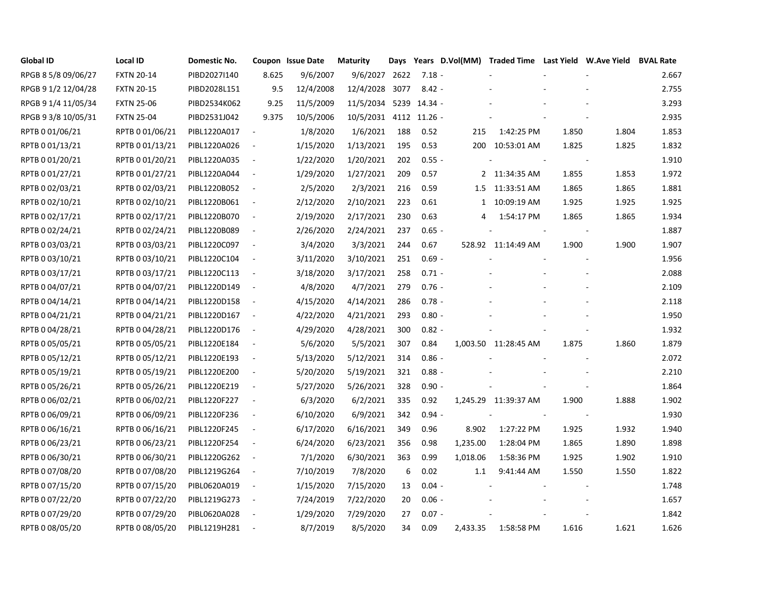| <b>Global ID</b>    | <b>Local ID</b>   | Domestic No. |                          | Coupon Issue Date | <b>Maturity</b>        | Days |          |          | Years D.Vol(MM) Traded Time Last Yield W.Ave Yield BVAL Rate |       |        |       |
|---------------------|-------------------|--------------|--------------------------|-------------------|------------------------|------|----------|----------|--------------------------------------------------------------|-------|--------|-------|
| RPGB 8 5/8 09/06/27 | <b>FXTN 20-14</b> | PIBD2027I140 | 8.625                    | 9/6/2007          | 9/6/2027 2622          |      | $7.18 -$ |          |                                                              |       |        | 2.667 |
| RPGB 9 1/2 12/04/28 | <b>FXTN 20-15</b> | PIBD2028L151 | 9.5                      | 12/4/2008         | 12/4/2028 3077         |      | $8.42 -$ |          |                                                              |       |        | 2.755 |
| RPGB 9 1/4 11/05/34 | <b>FXTN 25-06</b> | PIBD2534K062 | 9.25                     | 11/5/2009         | 11/5/2034 5239 14.34 - |      |          |          |                                                              |       |        | 3.293 |
| RPGB 9 3/8 10/05/31 | <b>FXTN 25-04</b> | PIBD2531J042 | 9.375                    | 10/5/2006         | 10/5/2031 4112 11.26 - |      |          |          |                                                              |       |        | 2.935 |
| RPTB 0 01/06/21     | RPTB 0 01/06/21   | PIBL1220A017 | $\sim$                   | 1/8/2020          | 1/6/2021               | 188  | 0.52     | 215      | 1:42:25 PM                                                   | 1.850 | 1.804  | 1.853 |
| RPTB 0 01/13/21     | RPTB 0 01/13/21   | PIBL1220A026 | $\overline{\phantom{a}}$ | 1/15/2020         | 1/13/2021              | 195  | 0.53     |          | 200 10:53:01 AM                                              | 1.825 | 1.825  | 1.832 |
| RPTB 0 01/20/21     | RPTB 0 01/20/21   | PIBL1220A035 | $\sim$                   | 1/22/2020         | 1/20/2021              | 202  | $0.55 -$ |          |                                                              |       |        | 1.910 |
| RPTB 0 01/27/21     | RPTB 0 01/27/21   | PIBL1220A044 | $\sim$                   | 1/29/2020         | 1/27/2021              | 209  | 0.57     |          | 2 11:34:35 AM                                                | 1.855 | 1.853  | 1.972 |
| RPTB 0 02/03/21     | RPTB 0 02/03/21   | PIBL1220B052 | $\overline{\phantom{a}}$ | 2/5/2020          | 2/3/2021               | 216  | 0.59     |          | 1.5 11:33:51 AM                                              | 1.865 | 1.865  | 1.881 |
| RPTB 0 02/10/21     | RPTB 0 02/10/21   | PIBL1220B061 | $\sim$                   | 2/12/2020         | 2/10/2021              | 223  | 0.61     |          | 1 10:09:19 AM                                                | 1.925 | 1.925  | 1.925 |
| RPTB 0 02/17/21     | RPTB 0 02/17/21   | PIBL1220B070 | $\overline{\phantom{a}}$ | 2/19/2020         | 2/17/2021              | 230  | 0.63     | 4        | 1:54:17 PM                                                   | 1.865 | 1.865  | 1.934 |
| RPTB 0 02/24/21     | RPTB 0 02/24/21   | PIBL1220B089 | $\sim$                   | 2/26/2020         | 2/24/2021              | 237  | $0.65 -$ |          |                                                              |       | $\sim$ | 1.887 |
| RPTB 0 03/03/21     | RPTB 0 03/03/21   | PIBL1220C097 | $\sim$                   | 3/4/2020          | 3/3/2021               | 244  | 0.67     |          | 528.92 11:14:49 AM                                           | 1.900 | 1.900  | 1.907 |
| RPTB 0 03/10/21     | RPTB 0 03/10/21   | PIBL1220C104 | $\sim$                   | 3/11/2020         | 3/10/2021              | 251  | $0.69 -$ |          |                                                              |       |        | 1.956 |
| RPTB 0 03/17/21     | RPTB 0 03/17/21   | PIBL1220C113 | $\overline{\phantom{a}}$ | 3/18/2020         | 3/17/2021              | 258  | $0.71 -$ |          |                                                              |       |        | 2.088 |
| RPTB 0 04/07/21     | RPTB 0 04/07/21   | PIBL1220D149 | $\sim$                   | 4/8/2020          | 4/7/2021               | 279  | $0.76 -$ |          |                                                              |       |        | 2.109 |
| RPTB 0 04/14/21     | RPTB 0 04/14/21   | PIBL1220D158 | $\sim$                   | 4/15/2020         | 4/14/2021              | 286  | $0.78 -$ |          |                                                              |       |        | 2.118 |
| RPTB 0 04/21/21     | RPTB 0 04/21/21   | PIBL1220D167 | $\sim$                   | 4/22/2020         | 4/21/2021              | 293  | $0.80 -$ |          |                                                              |       |        | 1.950 |
| RPTB 0 04/28/21     | RPTB 0 04/28/21   | PIBL1220D176 | $\sim$                   | 4/29/2020         | 4/28/2021              | 300  | $0.82 -$ |          |                                                              |       |        | 1.932 |
| RPTB 0 05/05/21     | RPTB 0 05/05/21   | PIBL1220E184 | $\overline{\phantom{a}}$ | 5/6/2020          | 5/5/2021               | 307  | 0.84     |          | 1,003.50 11:28:45 AM                                         | 1.875 | 1.860  | 1.879 |
| RPTB 0 05/12/21     | RPTB 0 05/12/21   | PIBL1220E193 | $\sim$                   | 5/13/2020         | 5/12/2021              | 314  | $0.86 -$ |          |                                                              |       |        | 2.072 |
| RPTB 0 05/19/21     | RPTB 0 05/19/21   | PIBL1220E200 | $\overline{\phantom{a}}$ | 5/20/2020         | 5/19/2021              | 321  | $0.88 -$ |          |                                                              |       |        | 2.210 |
| RPTB 0 05/26/21     | RPTB 0 05/26/21   | PIBL1220E219 | $\sim$                   | 5/27/2020         | 5/26/2021              | 328  | $0.90 -$ |          |                                                              |       |        | 1.864 |
| RPTB 0 06/02/21     | RPTB 0 06/02/21   | PIBL1220F227 | $\overline{\phantom{a}}$ | 6/3/2020          | 6/2/2021               | 335  | 0.92     |          | 1,245.29 11:39:37 AM                                         | 1.900 | 1.888  | 1.902 |
| RPTB 0 06/09/21     | RPTB 0 06/09/21   | PIBL1220F236 | $\overline{\phantom{a}}$ | 6/10/2020         | 6/9/2021               | 342  | $0.94 -$ |          |                                                              |       |        | 1.930 |
| RPTB 0 06/16/21     | RPTB 0 06/16/21   | PIBL1220F245 | $\overline{\phantom{a}}$ | 6/17/2020         | 6/16/2021              | 349  | 0.96     | 8.902    | 1:27:22 PM                                                   | 1.925 | 1.932  | 1.940 |
| RPTB 0 06/23/21     | RPTB 0 06/23/21   | PIBL1220F254 | $\overline{\phantom{a}}$ | 6/24/2020         | 6/23/2021              | 356  | 0.98     | 1,235.00 | 1:28:04 PM                                                   | 1.865 | 1.890  | 1.898 |
| RPTB 0 06/30/21     | RPTB 0 06/30/21   | PIBL1220G262 | $\sim$                   | 7/1/2020          | 6/30/2021              | 363  | 0.99     | 1,018.06 | 1:58:36 PM                                                   | 1.925 | 1.902  | 1.910 |
| RPTB 0 07/08/20     | RPTB 0 07/08/20   | PIBL1219G264 | $\sim$                   | 7/10/2019         | 7/8/2020               | 6    | 0.02     | 1.1      | 9:41:44 AM                                                   | 1.550 | 1.550  | 1.822 |
| RPTB 0 07/15/20     | RPTB 0 07/15/20   | PIBL0620A019 | $\sim$                   | 1/15/2020         | 7/15/2020              | 13   | $0.04 -$ |          |                                                              |       |        | 1.748 |
| RPTB 0 07/22/20     | RPTB 0 07/22/20   | PIBL1219G273 | $\sim$                   | 7/24/2019         | 7/22/2020              | 20   | $0.06 -$ |          |                                                              |       |        | 1.657 |
| RPTB 0 07/29/20     | RPTB 0 07/29/20   | PIBL0620A028 | $\overline{\phantom{a}}$ | 1/29/2020         | 7/29/2020              | 27   | $0.07 -$ |          |                                                              |       |        | 1.842 |
| RPTB 0 08/05/20     | RPTB 0 08/05/20   | PIBL1219H281 |                          | 8/7/2019          | 8/5/2020               | 34   | 0.09     | 2,433.35 | 1:58:58 PM                                                   | 1.616 | 1.621  | 1.626 |